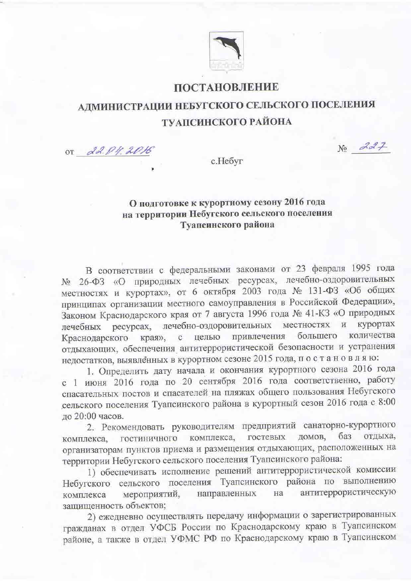

## ПОСТАНОВЛЕНИЕ

## АДМИНИСТРАЦИИ НЕБУГСКОГО СЕЛЬСКОГО ПОСЕЛЕНИЯ ТУАПСИНСКОГО РАЙОНА

OT 22.04.2016

 $No$   $227$ 

с.Небуг

## О подготовке к курортному сезону 2016 года на территории Небугского сельского поселения Туапеинского района

В соответствии с федеральными законами от 23 февраля 1995 года № 26-ФЗ «О природных лечебных ресурсах, лечебно-оздоровительных местностях и курортах», от 6 октября 2003 года № 131-ФЗ «Об общих принципах организации местного самоуправления в Российской Федерации», Законом Краснодарского края от 7 августа 1996 года № 41-КЗ «О природных лечебных ресурсах, лечебно-оздоровительных местностях и курортах с целью привлечения большего количества Краснодарского края», отдыхающих, обеспечения антитеррористической безопасности и устранения недостатков, выявленных в курортном сезоне 2015 года, по с тановляю:

1. Определить дату начала и окончания курортного сезона 2016 года с 1 июня 2016 года по 20 сентября 2016 года соответственно, работу спасательных постов и спасателей на пляжах общего пользования Небугского сельского поселения Туапсинского района в курортный сезон 2016 года с 8:00 до 20:00 часов.

2. Рекомендовать руководителям предприятий санаторно-курортного домов, баз отдыха, гостевых комплекса, комплекса, гостиничного организаторам пунктов приема и размещения отдыхающих, расположенных на территории Небугского сельского поселения Туапсинского района:

1) обеспечивать исполнение решений антитеррористической комиссии Небугского сельского поселения Туапсинского района по выполнению антитеррористическую мероприятий, направленных на комплекса защищенность объектов;

2) ежедневно осуществлять передачу информации о зарегистрированных гражданах в отдел УФСБ России по Краснодарскому краю в Туапсинском районе, а также в отдел УФМС РФ по Краснодарскому краю в Туапсинском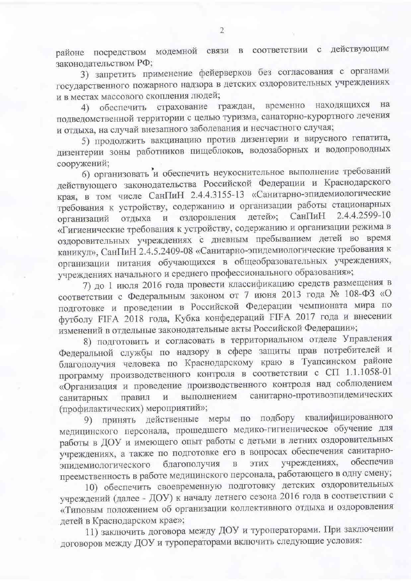районе посредством модемной связи в соответствии с действующим законодательством РФ;

3) запретить применение фейерверков без согласования с органами государственного пожарного надзора в детских оздоровительных учреждениях и в местах массового скопления людей;

4) обеспечить страхование граждан, временно находящихся на подведомственной территории с целью туризма, санаторно-курортного лечения и отдыха, на случай внезапного заболевания и несчастного случая;

5) продолжить вакцинацию против дизентерии и вирусного гепатита, дизентерии зоны работников пищеблоков, водозаборных и водопроводных сооружений;

б) организовать и обеспечить неукоснительное выполнение требований действующего законодательства Российской Федерации и Краснодарского края, в том числе СанПиН 2.4.4.3155-13 «Санитарно-эпидемиологические требования к устройству, содержанию и организации работы стационарных 2.4.4.2599-10 детей»; СанПиН оздоровления организаций отдыха  $\mathbf{N}$ «Гигиенические требования к устройству, содержанию и организации режима в оздоровительных учреждениях с дневным пребыванием детей во время каникул», СанПиН 2.4.5.2409-08 «Санитарно-эпидемиологические требования к организации питания обучающихся в общеобразовательных учреждениях, учреждениях начального и среднего профессионального образования»;

7) до 1 июля 2016 года провести классификацию средств размещения в соответствии с Федеральным законом от 7 июня 2013 года № 108-ФЗ «О подготовке и проведении в Российской Федерации чемпионата мира по футболу FIFA 2018 года, Кубка конфедераций FIFA 2017 года и внесении изменений в отдельные законодательные акты Российской Федерации»;

8) подготовить и согласовать в территориальном отделе Управления Федеральной службы по надзору в сфере защиты прав потребителей и благополучия человека по Краснодарскому краю в Туапсинском районе программу производственного контроля в соответствии с СП 1.1.1058-01 «Организация и проведение производственного контроля над соблюдением санитарных правил и выполнением санитарно-противоэпидемических (профилактических) мероприятий»;

9) принять действенные меры по подбору квалифицированного медицинского персонала, прошедшего медико-гигиеническое обучение для работы в ДОУ и имеющего опыт работы с детьми в летних оздоровительных учреждениях, а также по подготовке его в вопросах обеспечения санитарноэпидемиологического благополучия в учреждениях, обеспечив ЭТИХ преемственность в работе медицинского персонала, работающего в одну смену;

10) обеспечить своевременную подготовку детских оздоровительных учреждений (далее - ДОУ) к началу летнего сезона 2016 года в соответствии с «Типовым положением об организации коллективного отдыха и оздоровления детей в Краснодарском крае»;

11) заключить договора между ДОУ и туроператорами. При заключении договоров между ДОУ и туроператорами включить следующие условия: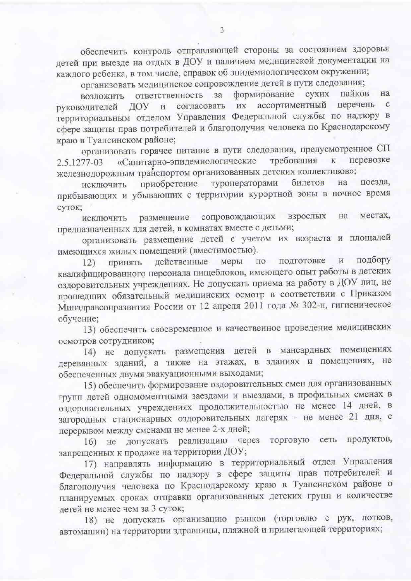обеспечить контроль отправляющей стороны за состоянием здоровья детей при выезде на отдых в ДОУ и наличием медицинской документации на каждого ребенка, в том числе, справок об эпидемиологическом окружении;

организовать медицинское сопровождение детей в пути следования;

формирование сухих пайков на ответственность за возложить согласовать их ассортиментный перечень с руководителей ДОУ и территориальным отделом Управления Федеральной службы по надзору в сфере защиты прав потребителей и благополучия человека по Краснодарскому краю в Туапсинском районе;

организовать горячее питание в пути следования, предусмотренное СП «Санитарно-эпидемиологические требования перевозке  $\rm K$ 2.5.1277-03 железнодорожным транспортом организованных детских коллективов»;

приобретение туроператорами билетов на поезда, исключить прибывающих и убывающих с территории курортной зоны в ночное время суток;

исключить размещение сопровождающих взрослых на местах, предназначенных для детей, в комнатах вместе с детьми;

организовать размещение детей с учетом их возраста и площадей имеющихся жилых помещений (вместимостью).

по подготовке и подбору действенные меры Принять  $12)$ квалифицированного персонала пищеблоков, имеющего опыт работы в детских оздоровительных учреждениях. Не допускать приема на работу в ДОУ лиц, не прошедших обязательный медицинских осмотр в соответствии с Приказом Минздравсоцразвития России от 12 апреля 2011 года № 302-н, гигиеническое обучение;

13) обеспечить своевременное и качественное проведение медицинских осмотров сотрудников;

14) не допускать размещения детей в мансардных помещениях деревянных зданий, а также на этажах, в зданиях и помещениях, не обеспеченных двумя эвакуационными выходами;

15) обеспечить формирование оздоровительных смен для организованных групп детей одномоментными заездами и выездами, в профильных сменах в оздоровительных учреждениях продолжительностью не менее 14 дней, в загородных стационарных оздоровительных лагерях - не менее 21 дня, с перерывом между сменами не менее 2-х дней;

16) не допускать реализацию через торговую сеть продуктов, запрещенных к продаже на территории ДОУ;

17) направлять информацию в территориальный отдел Управления Федеральной службы по надзору в сфере защиты прав потребителей и благополучия человека по Краснодарскому краю в Туапсинском районе о планируемых сроках отправки организованных детских групп и количестве детей не менее чем за 3 суток;

18) не допускать организацию рынков (торговлю с рук, лотков, автомашин) на территории здравницы, пляжной и прилегающей территориях;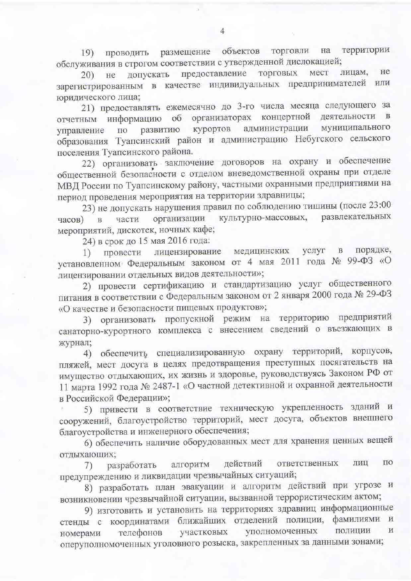размещение объектов торговли территории на Проводить  $(19)$ обслуживания в строгом соответствии с утвержденной дислокацией;

лицам, He предоставление ТОРГОВЫХ мест допускать  $20)$ не зарегистрированным в качестве индивидуальных предпринимателей или юридического лица;

21) предоставлять ежемесячно до 3-го числа месяца следующего за организаторах концертной деятельности в отчетным информацию об администрации муниципального курортов развитию управление ПО образования Туапсинский район и администрацию Небугского сельского поселения Туапсинского района.

22) организовать заключение договоров на охрану и обеспечение общественной безопасности с отделом вневедомственной охраны при отделе МВД России по Туапсинскому району, частными охранными предприятиями на период проведения мероприятия на территории здравницы;

23) не допускать нарушения правил по соблюдению тишины (после 23:00 культурно-массовых, развлекательных организации части часов)  $\mathbf{B}$ мероприятий, дискотек, ночных кафе;

24) в срок до 15 мая 2016 года:

порядке, лицензирование медицинских услуг в  $1)$ провести установленном Федеральным законом от 4 мая 2011 года № 99-ФЗ «О лицензировании отдельных видов деятельности»;

2) провести сертификацию и стандартизацию услуг общественного питания в соответствии с Федеральным законом от 2 января 2000 года № 29-ФЗ «О качестве и безопасности пищевых продуктов»;

3) организовать пропускной режим на территорию предприятий санаторно-курортного комплекса с внесением сведений о въезжающих в журнал;

4) обеспечить специализированную охрану территорий, корпусов, пляжей, мест досуга в целях предотвращения преступных посягательств на имущество отдыхающих, их жизнь и здоровье, руководствуясь Законом РФ от 11 марта 1992 года № 2487-1 «О частной детективной и охранной деятельности в Российской Федерации»;

5) привести в соответствие техническую укрепленность зданий и сооружений, благоустройство территорий, мест досуга, объектов внешнего благоустройства и инженерного обеспечения;

6) обеспечить наличие оборудованных мест для хранения ценных вещей отдыхающих;

алгоритм ЛИЦ  $\Pi{\rm O}$ действий ответственных разработать 7) предупреждению и ликвидации чрезвычайных ситуаций;

8) разработать план эвакуации и алгоритм действий при угрозе и возникновении чрезвычайной ситуации, вызванной террористическим актом;

9) изготовить и установить на территориях здравниц информационные стенды с координатами ближайших отделений полиции, фамилиями И уполномоченных полиции  $\mathbf{N}$ участковых телефонов номерами оперуполномоченных уголовного розыска, закрепленных за данными зонами;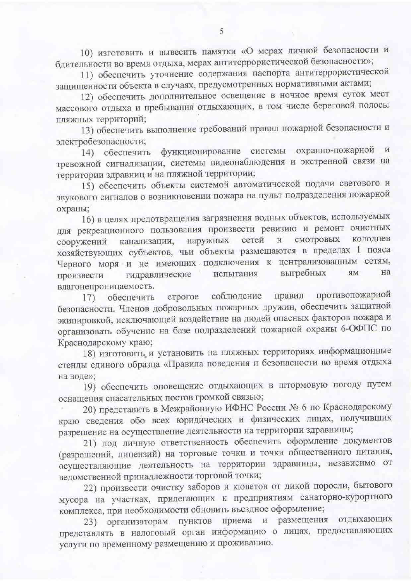10) изготовить и вывесить памятки «О мерах личной безопасности и бдительности во время отдыха, мерах антитеррористической безопасности»;

11) обеспечить уточнение содержания паспорта антитеррористической защищенности объекта в случаях, предусмотренных нормативными актами;

12) обеспечить дополнительное освещение в ночное время суток мест массового отдыха и пребывания отдыхающих, в том числе береговой полосы пляжных территорий;

13) обеспечить выполнение требований правил пожарной безопасности и электробезопасности;

14) обеспечить функционирование системы охранно-пожарной  $M$ тревожной сигнализации, системы видеонаблюдения и экстренной связи на территории здравниц и на пляжной территории;

15) обеспечить объекты системой автоматической подачи светового и звукового сигналов о возникновении пожара на пульт подразделения пожарной охраны;

16) в целях предотвращения загрязнения водных объектов, используемых для рекреационного пользования произвести ревизию и ремонт очистных колодцев смотровых наружных сетей  $\overline{\text{M}}$ сооружений канализации, хозяйствующих субъектов, чьи объекты размещаются в пределах 1 пояса Черного моря и не имеющих подключения к централизованным сетям, на гидравлические выгребных ЯM испытания произвести влагонепроницаемость.

противопожарной соблюдение правил строгое обеспечить 17) безопасности. Членов добровольных пожарных дружин, обеспечить защитной экипировкой, исключающей воздействие на людей опасных факторов пожара и организовать обучение на базе подразделений пожарной охраны 6-ОФПС по Краснодарскому краю;

18) изготовить и установить на пляжных территориях информационные стенды единого образца «Правила поведения и безопасности во время отдыха на воде»;

19) обеспечить оповещение отдыхающих в штормовую погоду путем оснащения спасательных постов громкой связью;

20) представить в Межрайонную ИФНС России № 6 по Краснодарскому краю сведения обо всех юридических и физических лицах, получивших разрешение на осуществление деятельности на территории здравницы;

21) под личную ответственность обеспечить оформление документов (разрешений, лицензий) на торговые точки и точки общественного питания, осуществляющие деятельность на территории здравницы, независимо от ведомственной принадлежности торговой точки;

22) произвести очистку заборов и кюветов от дикой поросли, бытового мусора на участках, прилегающих к предприятиям санаторно-курортного комплекса, при необходимости обновить въездное оформление;

23) организаторам пунктов приема и размещения отдыхающих представлять в налоговый орган информацию о лицах, предоставляющих услуги по временному размещению и проживанию.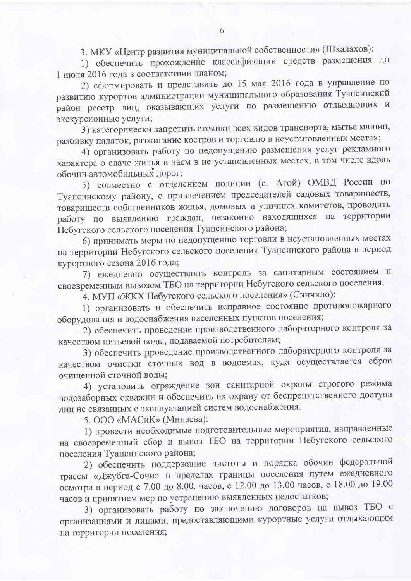3. МКУ «Центр развития муниципальной собственности» (Шхалахов):

1) обеспечить прохождение классификации средств размещения до 1 июля 2016 года в соответствии планом;

2) сформировать и представить до 15 мая 2016 года в управление по развитию курортов администрации муниципального образования Туапсинский район реестр лиц, оказывающих услуги по размещению отдыхающих и экскурсионные услуги;

3) категорически запретить стоянки всех видов транспорта, мытье машин, разбивку палаток, разжигание костров и торговлю в неустановленных местах;

4) организовать работу по недопущению размещения услуг рекламного характера о сдаче жилья в наем в не установленных местах, в том числе вдоль обочин автомобильных дорог;

5) совместно с отделением полиции (с. Агой) ОМВД России по Туапсинскому району, с привлечением председателей садовых товариществ, товариществ собственников жилья, домовых и уличных комитетов, проводить работу по выявлению граждан, незаконно находящихся на территории Небугского сельского поселения Туапсинского района;

6) принимать меры по недопущению торговли в неустановленных местах на территории Небугского сельского поселения Туапсинского района в период курортного сезона 2016 года;

7) ежедневно осуществлять контроль за санитарным состоянием и своевременным вывозом ТБО на территории Небугского сельского поселения.

4. МУП «ЖКХ Небугского сельского поселения» (Синчило):

1) организовать и обеспечить исправное состояние противопожарного оборудования и водоснабжения населенных пунктов поселения;

2) обеспечить проведение производственного лабораторного контроля за качеством питьевой воды, подаваемой потребителям;

3) обеспечить проведение производственного лабораторного контроля за качеством очистки сточных вод в водоемах, куда осуществляется сброс очищенной сточной воды;

4) установить ограждение зон санитарной охраны строгого режима водозаборных скважин и обеспечить их охрану от беспрепятственного доступа лиц не связанных с эксплуатацией систем водоснабжения.

5. ООО «МАСиК» (Минаева):

1) провести необходимые подготовительные мероприятия, направленные на своевременный сбор и вывоз ТБО на территории Небугского сельского поселения Туапсинского района;

2) обеспечить поддержание чистоты и порядка обочин федеральной трассы «Джубга-Сочи» в пределах границы поселения путем ежедневного осмотра в период с 7.00 до 8.00. часов, с 12.00 до 13.00 часов, с 18.00 до 19.00 часов и принятием мер по устранению выявленных недостатков;

3) организовать работу по заключению договоров на вывоз ТБО с организациями и лицами, предоставляющими курортные услуги отдыхающим на территории поселения;